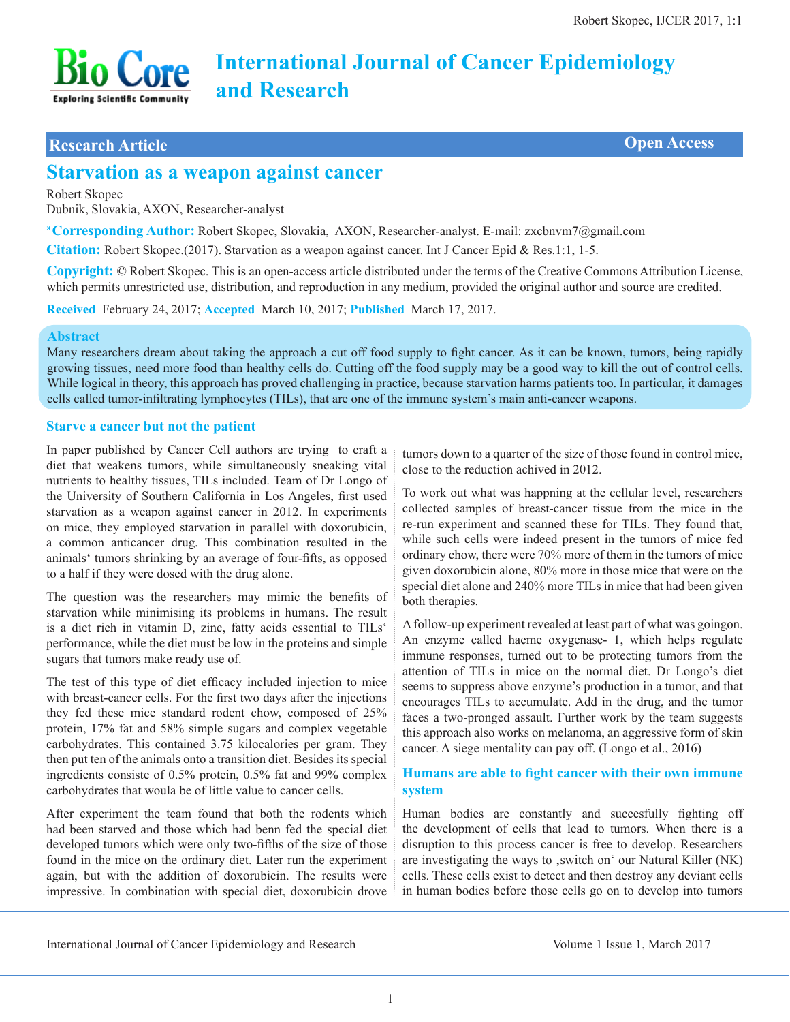# **International Journal of Cancer Epidemiology and Research**

## **Research Article Open Access**

**Bio Core** 

# **Starvation as a weapon against cancer**

Robert Skopec

Dubnik, Slovakia, AXON, Researcher-analyst

\***Corresponding Author:** Robert Skopec, Slovakia, AXON, Researcher-analyst. E-mail: zxcbnvm7@gmail.com

**Citation:** Robert Skopec.(2017). Starvation as a weapon against cancer. Int J Cancer Epid & Res.1:1, 1-5.

**Copyright:** © Robert Skopec. This is an open-access article distributed under the terms of the Creative Commons Attribution License, which permits unrestricted use, distribution, and reproduction in any medium, provided the original author and source are credited.

**Received** February 24, 2017; **Accepted** March 10, 2017; **Published** March 17, 2017.

#### **Abstract**

Many researchers dream about taking the approach a cut off food supply to fight cancer. As it can be known, tumors, being rapidly growing tissues, need more food than healthy cells do. Cutting off the food supply may be a good way to kill the out of control cells. While logical in theory, this approach has proved challenging in practice, because starvation harms patients too. In particular, it damages cells called tumor-infiltrating lymphocytes (TILs), that are one of the immune system's main anti-cancer weapons.

#### **Starve a cancer but not the patient**

In paper published by Cancer Cell authors are trying to craft a diet that weakens tumors, while simultaneously sneaking vital nutrients to healthy tissues, TILs included. Team of Dr Longo of the University of Southern California in Los Angeles, first used starvation as a weapon against cancer in 2012. In experiments on mice, they employed starvation in parallel with doxorubicin, a common anticancer drug. This combination resulted in the animals' tumors shrinking by an average of four-fifts, as opposed to a half if they were dosed with the drug alone.

The question was the researchers may mimic the benefits of starvation while minimising its problems in humans. The result is a diet rich in vitamin D, zinc, fatty acids essential to TILs' performance, while the diet must be low in the proteins and simple sugars that tumors make ready use of.

The test of this type of diet efficacy included injection to mice with breast-cancer cells. For the first two days after the injections they fed these mice standard rodent chow, composed of 25% protein, 17% fat and 58% simple sugars and complex vegetable carbohydrates. This contained 3.75 kilocalories per gram. They then put ten of the animals onto a transition diet. Besides its special ingredients consiste of 0.5% protein, 0.5% fat and 99% complex carbohydrates that woula be of little value to cancer cells.

After experiment the team found that both the rodents which had been starved and those which had benn fed the special diet developed tumors which were only two-fifths of the size of those found in the mice on the ordinary diet. Later run the experiment again, but with the addition of doxorubicin. The results were impressive. In combination with special diet, doxorubicin drove

tumors down to a quarter of the size of those found in control mice, close to the reduction achived in 2012.

To work out what was happning at the cellular level, researchers collected samples of breast-cancer tissue from the mice in the re-run experiment and scanned these for TILs. They found that, while such cells were indeed present in the tumors of mice fed ordinary chow, there were 70% more of them in the tumors of mice given doxorubicin alone, 80% more in those mice that were on the special diet alone and 240% more TILs in mice that had been given both therapies.

A follow-up experiment revealed at least part of what was goingon. An enzyme called haeme oxygenase- 1, which helps regulate immune responses, turned out to be protecting tumors from the attention of TILs in mice on the normal diet. Dr Longo's diet seems to suppress above enzyme's production in a tumor, and that encourages TILs to accumulate. Add in the drug, and the tumor faces a two-pronged assault. Further work by the team suggests this approach also works on melanoma, an aggressive form of skin cancer. A siege mentality can pay off. (Longo et al., 2016)

#### **Humans are able to fight cancer with their own immune system**

Human bodies are constantly and succesfully fighting off the development of cells that lead to tumors. When there is a disruption to this process cancer is free to develop. Researchers are investigating the ways to , switch on ' our Natural Killer (NK) cells. These cells exist to detect and then destroy any deviant cells in human bodies before those cells go on to develop into tumors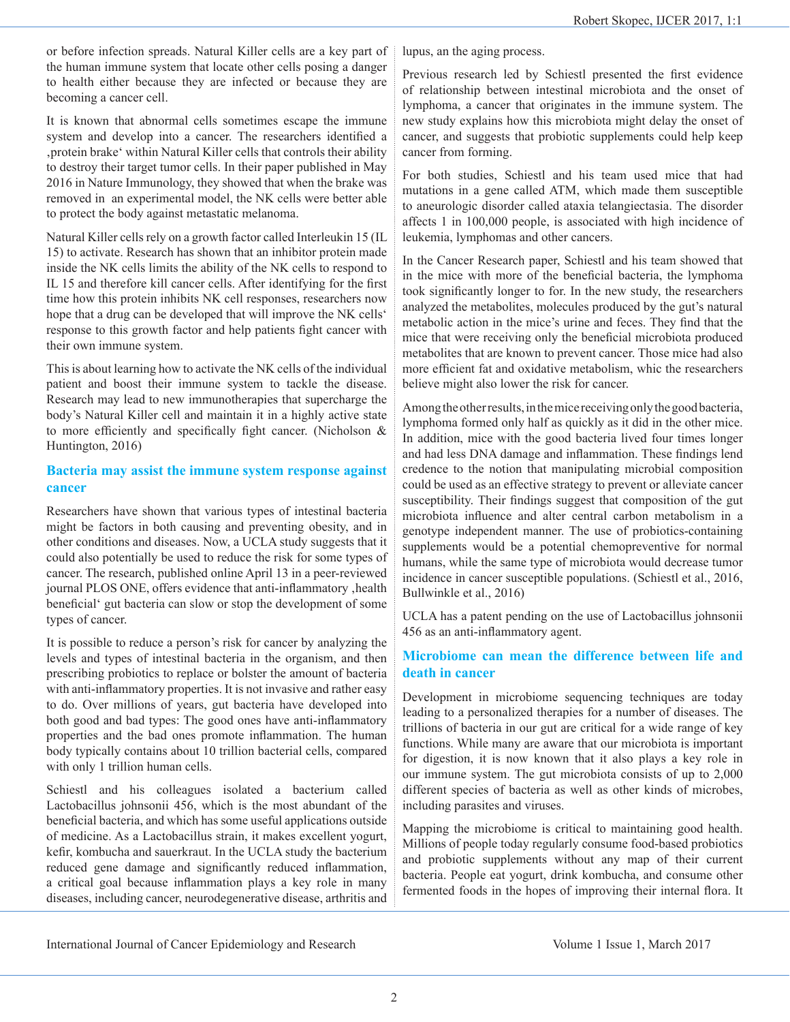or before infection spreads. Natural Killer cells are a key part of the human immune system that locate other cells posing a danger to health either because they are infected or because they are becoming a cancer cell.

It is known that abnormal cells sometimes escape the immune system and develop into a cancer. The researchers identified a 'protein brake' within Natural Killer cells that controls their ability to destroy their target tumor cells. In their paper published in May 2016 in Nature Immunology, they showed that when the brake was removed in an experimental model, the NK cells were better able to protect the body against metastatic melanoma.

Natural Killer cells rely on a growth factor called Interleukin 15 (IL 15) to activate. Research has shown that an inhibitor protein made inside the NK cells limits the ability of the NK cells to respond to IL 15 and therefore kill cancer cells. After identifying for the first time how this protein inhibits NK cell responses, researchers now hope that a drug can be developed that will improve the NK cells' response to this growth factor and help patients fight cancer with their own immune system.

This is about learning how to activate the NK cells of the individual patient and boost their immune system to tackle the disease. Research may lead to new immunotherapies that supercharge the body's Natural Killer cell and maintain it in a highly active state to more efficiently and specifically fight cancer. (Nicholson & Huntington, 2016)

#### **Bacteria may assist the immune system response against cancer**

Researchers have shown that various types of intestinal bacteria might be factors in both causing and preventing obesity, and in other conditions and diseases. Now, a UCLA study suggests that it could also potentially be used to reduce the risk for some types of cancer. The research, published online April 13 in a peer-reviewed journal PLOS ONE, offers evidence that anti-inflammatory , health beneficial' gut bacteria can slow or stop the development of some types of cancer.

It is possible to reduce a person's risk for cancer by analyzing the levels and types of intestinal bacteria in the organism, and then prescribing probiotics to replace or bolster the amount of bacteria with anti-inflammatory properties. It is not invasive and rather easy to do. Over millions of years, gut bacteria have developed into both good and bad types: The good ones have anti-inflammatory properties and the bad ones promote inflammation. The human body typically contains about 10 trillion bacterial cells, compared with only 1 trillion human cells.

Schiestl and his colleagues isolated a bacterium called Lactobacillus johnsonii 456, which is the most abundant of the beneficial bacteria, and which has some useful applications outside of medicine. As a Lactobacillus strain, it makes excellent yogurt, kefir, kombucha and sauerkraut. In the UCLA study the bacterium reduced gene damage and significantly reduced inflammation, a critical goal because inflammation plays a key role in many diseases, including cancer, neurodegenerative disease, arthritis and

lupus, an the aging process.

Previous research led by Schiestl presented the first evidence of relationship between intestinal microbiota and the onset of lymphoma, a cancer that originates in the immune system. The new study explains how this microbiota might delay the onset of cancer, and suggests that probiotic supplements could help keep cancer from forming.

For both studies, Schiestl and his team used mice that had mutations in a gene called ATM, which made them susceptible to aneurologic disorder called ataxia telangiectasia. The disorder affects 1 in 100,000 people, is associated with high incidence of leukemia, lymphomas and other cancers.

In the Cancer Research paper, Schiestl and his team showed that in the mice with more of the beneficial bacteria, the lymphoma took significantly longer to for. In the new study, the researchers analyzed the metabolites, molecules produced by the gut's natural metabolic action in the mice's urine and feces. They find that the mice that were receiving only the beneficial microbiota produced metabolites that are known to prevent cancer. Those mice had also more efficient fat and oxidative metabolism, whic the researchers believe might also lower the risk for cancer.

Among the other results, in the mice receiving only the good bacteria, lymphoma formed only half as quickly as it did in the other mice. In addition, mice with the good bacteria lived four times longer and had less DNA damage and inflammation. These findings lend credence to the notion that manipulating microbial composition could be used as an effective strategy to prevent or alleviate cancer susceptibility. Their findings suggest that composition of the gut microbiota influence and alter central carbon metabolism in a genotype independent manner. The use of probiotics-containing supplements would be a potential chemopreventive for normal humans, while the same type of microbiota would decrease tumor incidence in cancer susceptible populations. (Schiestl et al., 2016, Bullwinkle et al., 2016)

UCLA has a patent pending on the use of Lactobacillus johnsonii 456 as an anti-inflammatory agent.

#### **Microbiome can mean the difference between life and death in cancer**

Development in microbiome sequencing techniques are today leading to a personalized therapies for a number of diseases. The trillions of bacteria in our gut are critical for a wide range of key functions. While many are aware that our microbiota is important for digestion, it is now known that it also plays a key role in our immune system. The gut microbiota consists of up to 2,000 different species of bacteria as well as other kinds of microbes, including parasites and viruses.

Mapping the microbiome is critical to maintaining good health. Millions of people today regularly consume food-based probiotics and probiotic supplements without any map of their current bacteria. People eat yogurt, drink kombucha, and consume other fermented foods in the hopes of improving their internal flora. It

International Journal of Cancer Epidemiology and Research Volume 1 Issue 1, March 2017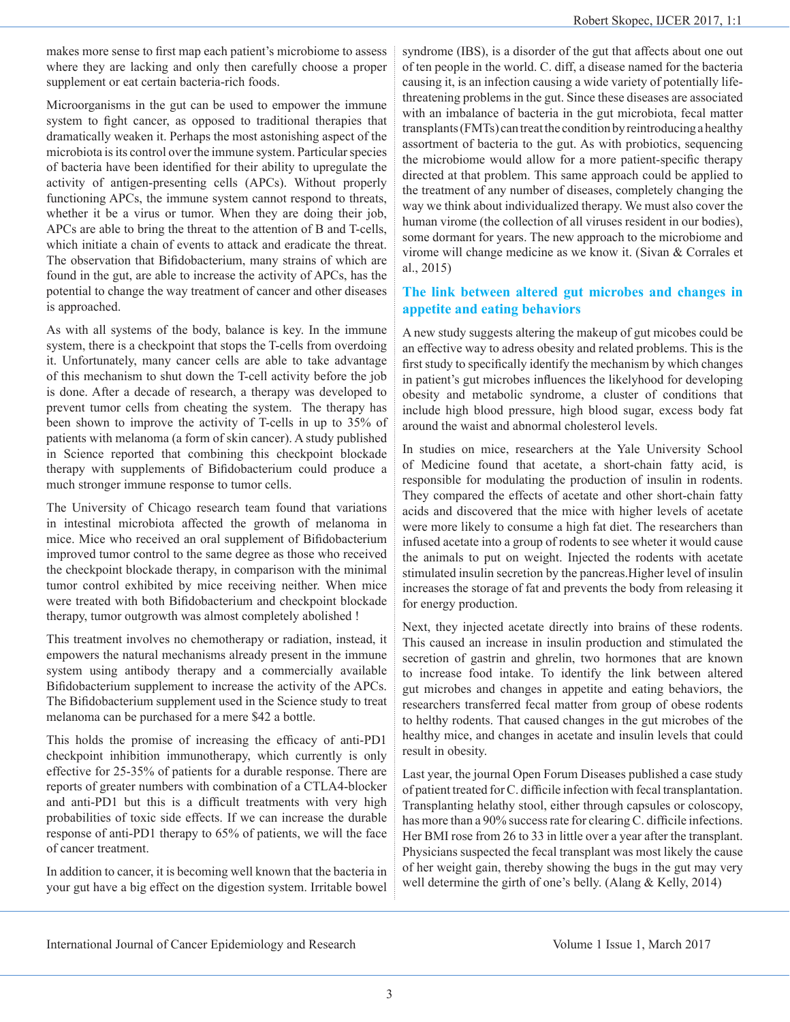makes more sense to first map each patient's microbiome to assess where they are lacking and only then carefully choose a proper supplement or eat certain bacteria-rich foods.

Microorganisms in the gut can be used to empower the immune system to fight cancer, as opposed to traditional therapies that dramatically weaken it. Perhaps the most astonishing aspect of the microbiota is its control over the immune system. Particular species of bacteria have been identified for their ability to upregulate the activity of antigen-presenting cells (APCs). Without properly functioning APCs, the immune system cannot respond to threats, whether it be a virus or tumor. When they are doing their job, APCs are able to bring the threat to the attention of B and T-cells, which initiate a chain of events to attack and eradicate the threat. The observation that Bifidobacterium, many strains of which are found in the gut, are able to increase the activity of APCs, has the potential to change the way treatment of cancer and other diseases is approached.

As with all systems of the body, balance is key. In the immune system, there is a checkpoint that stops the T-cells from overdoing it. Unfortunately, many cancer cells are able to take advantage of this mechanism to shut down the T-cell activity before the job is done. After a decade of research, a therapy was developed to prevent tumor cells from cheating the system. The therapy has been shown to improve the activity of T-cells in up to 35% of patients with melanoma (a form of skin cancer). A study published in Science reported that combining this checkpoint blockade therapy with supplements of Bifidobacterium could produce a much stronger immune response to tumor cells.

The University of Chicago research team found that variations in intestinal microbiota affected the growth of melanoma in mice. Mice who received an oral supplement of Bifidobacterium improved tumor control to the same degree as those who received the checkpoint blockade therapy, in comparison with the minimal tumor control exhibited by mice receiving neither. When mice were treated with both Bifidobacterium and checkpoint blockade therapy, tumor outgrowth was almost completely abolished !

This treatment involves no chemotherapy or radiation, instead, it empowers the natural mechanisms already present in the immune system using antibody therapy and a commercially available Bifidobacterium supplement to increase the activity of the APCs. The Bifidobacterium supplement used in the Science study to treat melanoma can be purchased for a mere \$42 a bottle.

This holds the promise of increasing the efficacy of anti-PD1 checkpoint inhibition immunotherapy, which currently is only effective for 25-35% of patients for a durable response. There are reports of greater numbers with combination of a CTLA4-blocker and anti-PD1 but this is a difficult treatments with very high probabilities of toxic side effects. If we can increase the durable response of anti-PD1 therapy to 65% of patients, we will the face of cancer treatment.

In addition to cancer, it is becoming well known that the bacteria in your gut have a big effect on the digestion system. Irritable bowel syndrome (IBS), is a disorder of the gut that affects about one out of ten people in the world. C. diff, a disease named for the bacteria causing it, is an infection causing a wide variety of potentially lifethreatening problems in the gut. Since these diseases are associated with an imbalance of bacteria in the gut microbiota, fecal matter transplants (FMTs) can treat the condition by reintroducing a healthy assortment of bacteria to the gut. As with probiotics, sequencing the microbiome would allow for a more patient-specific therapy directed at that problem. This same approach could be applied to the treatment of any number of diseases, completely changing the way we think about individualized therapy. We must also cover the human virome (the collection of all viruses resident in our bodies), some dormant for years. The new approach to the microbiome and virome will change medicine as we know it. (Sivan & Corrales et al., 2015)

#### **The link between altered gut microbes and changes in appetite and eating behaviors**

A new study suggests altering the makeup of gut micobes could be an effective way to adress obesity and related problems. This is the first study to specifically identify the mechanism by which changes in patient's gut microbes influences the likelyhood for developing obesity and metabolic syndrome, a cluster of conditions that include high blood pressure, high blood sugar, excess body fat around the waist and abnormal cholesterol levels.

In studies on mice, researchers at the Yale University School of Medicine found that acetate, a short-chain fatty acid, is responsible for modulating the production of insulin in rodents. They compared the effects of acetate and other short-chain fatty acids and discovered that the mice with higher levels of acetate were more likely to consume a high fat diet. The researchers than infused acetate into a group of rodents to see wheter it would cause the animals to put on weight. Injected the rodents with acetate stimulated insulin secretion by the pancreas.Higher level of insulin increases the storage of fat and prevents the body from releasing it for energy production.

Next, they injected acetate directly into brains of these rodents. This caused an increase in insulin production and stimulated the secretion of gastrin and ghrelin, two hormones that are known to increase food intake. To identify the link between altered gut microbes and changes in appetite and eating behaviors, the researchers transferred fecal matter from group of obese rodents to helthy rodents. That caused changes in the gut microbes of the healthy mice, and changes in acetate and insulin levels that could result in obesity.

Last year, the journal Open Forum Diseases published a case study of patient treated for C. difficile infection with fecal transplantation. Transplanting helathy stool, either through capsules or coloscopy, has more than a 90% success rate for clearing C. difficile infections. Her BMI rose from 26 to 33 in little over a year after the transplant. Physicians suspected the fecal transplant was most likely the cause of her weight gain, thereby showing the bugs in the gut may very well determine the girth of one's belly. (Alang & Kelly, 2014)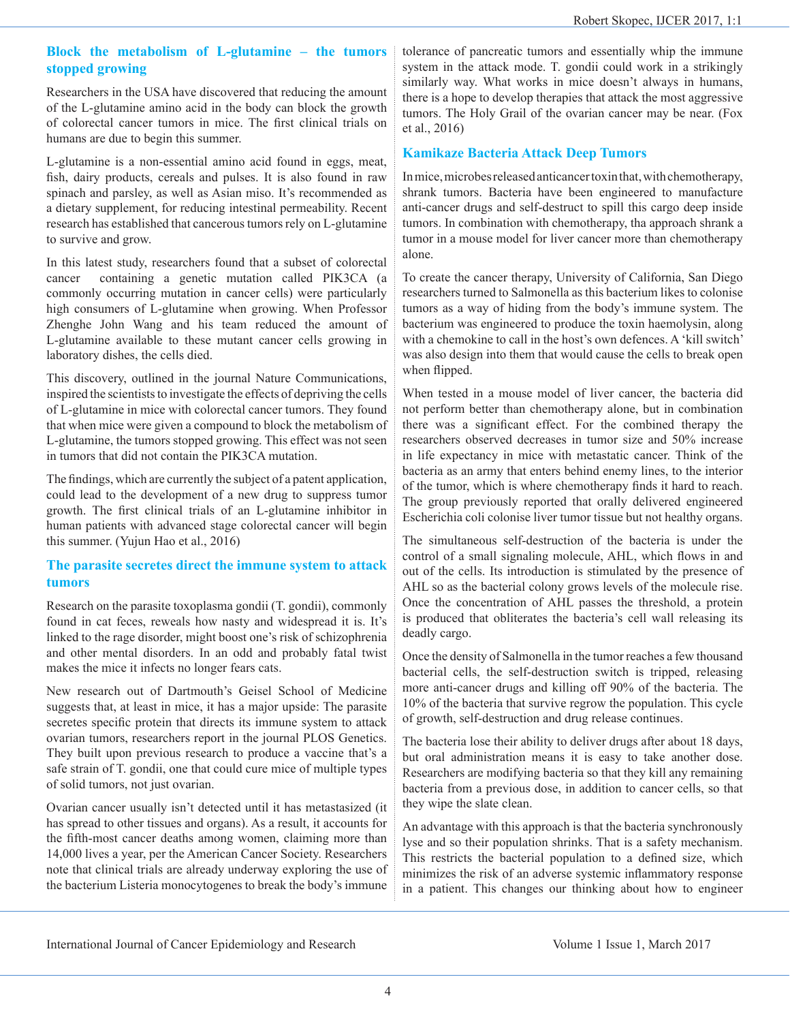#### **Block the metabolism of L-glutamine – the tumors stopped growing**

Researchers in the USA have discovered that reducing the amount of the L-glutamine amino acid in the body can block the growth of colorectal cancer tumors in mice. The first clinical trials on humans are due to begin this summer.

L-glutamine is a non-essential amino acid found in eggs, meat, fish, dairy products, cereals and pulses. It is also found in raw spinach and parsley, as well as Asian miso. It's recommended as a dietary supplement, for reducing intestinal permeability. Recent research has established that cancerous tumors rely on L-glutamine to survive and grow.

In this latest study, researchers found that a subset of colorectal cancer containing a genetic mutation called PIK3CA (a commonly occurring mutation in cancer cells) were particularly high consumers of L-glutamine when growing. When Professor Zhenghe John Wang and his team reduced the amount of L-glutamine available to these mutant cancer cells growing in laboratory dishes, the cells died.

This discovery, outlined in the journal Nature Communications, inspired the scientists to investigate the effects of depriving the cells of L-glutamine in mice with colorectal cancer tumors. They found that when mice were given a compound to block the metabolism of L-glutamine, the tumors stopped growing. This effect was not seen in tumors that did not contain the PIK3CA mutation.

The findings, which are currently the subject of a patent application, could lead to the development of a new drug to suppress tumor growth. The first clinical trials of an L-glutamine inhibitor in human patients with advanced stage colorectal cancer will begin this summer. (Yujun Hao et al., 2016)

#### **The parasite secretes direct the immune system to attack tumors**

Research on the parasite toxoplasma gondii (T. gondii), commonly found in cat feces, reweals how nasty and widespread it is. It's linked to the rage disorder, might boost one's risk of schizophrenia and other mental disorders. In an odd and probably fatal twist makes the mice it infects no longer fears cats.

New research out of Dartmouth's Geisel School of Medicine suggests that, at least in mice, it has a major upside: The parasite secretes specific protein that directs its immune system to attack ovarian tumors, researchers report in the journal PLOS Genetics. They built upon previous research to produce a vaccine that's a safe strain of T. gondii, one that could cure mice of multiple types of solid tumors, not just ovarian.

Ovarian cancer usually isn't detected until it has metastasized (it has spread to other tissues and organs). As a result, it accounts for the fifth-most cancer deaths among women, claiming more than 14,000 lives a year, per the American Cancer Society. Researchers note that clinical trials are already underway exploring the use of the bacterium Listeria monocytogenes to break the body's immune

tolerance of pancreatic tumors and essentially whip the immune system in the attack mode. T. gondii could work in a strikingly similarly way. What works in mice doesn't always in humans, there is a hope to develop therapies that attack the most aggressive tumors. The Holy Grail of the ovarian cancer may be near. (Fox et al., 2016)

### **Kamikaze Bacteria Attack Deep Tumors**

In mice, microbes released anticancer toxin that, with chemotherapy, shrank tumors. Bacteria have been engineered to manufacture anti-cancer drugs and self-destruct to spill this cargo deep inside tumors. In combination with chemotherapy, tha approach shrank a tumor in a mouse model for liver cancer more than chemotherapy alone.

To create the cancer therapy, University of California, San Diego researchers turned to Salmonella as this bacterium likes to colonise tumors as a way of hiding from the body's immune system. The bacterium was engineered to produce the toxin haemolysin, along with a chemokine to call in the host's own defences. A 'kill switch' was also design into them that would cause the cells to break open when flipped.

When tested in a mouse model of liver cancer, the bacteria did not perform better than chemotherapy alone, but in combination there was a significant effect. For the combined therapy the researchers observed decreases in tumor size and 50% increase in life expectancy in mice with metastatic cancer. Think of the bacteria as an army that enters behind enemy lines, to the interior of the tumor, which is where chemotherapy finds it hard to reach. The group previously reported that orally delivered engineered Escherichia coli colonise liver tumor tissue but not healthy organs.

The simultaneous self-destruction of the bacteria is under the control of a small signaling molecule, AHL, which flows in and out of the cells. Its introduction is stimulated by the presence of AHL so as the bacterial colony grows levels of the molecule rise. Once the concentration of AHL passes the threshold, a protein is produced that obliterates the bacteria's cell wall releasing its deadly cargo.

Once the density of Salmonella in the tumor reaches a few thousand bacterial cells, the self-destruction switch is tripped, releasing more anti-cancer drugs and killing off 90% of the bacteria. The 10% of the bacteria that survive regrow the population. This cycle of growth, self-destruction and drug release continues.

The bacteria lose their ability to deliver drugs after about 18 days, but oral administration means it is easy to take another dose. Researchers are modifying bacteria so that they kill any remaining bacteria from a previous dose, in addition to cancer cells, so that they wipe the slate clean.

An advantage with this approach is that the bacteria synchronously lyse and so their population shrinks. That is a safety mechanism. This restricts the bacterial population to a defined size, which minimizes the risk of an adverse systemic inflammatory response in a patient. This changes our thinking about how to engineer